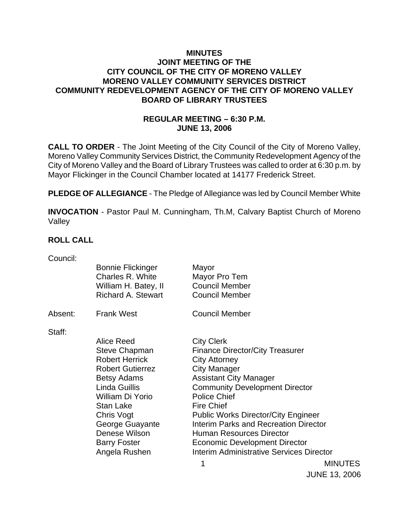### **MINUTES JOINT MEETING OF THE CITY COUNCIL OF THE CITY OF MORENO VALLEY MORENO VALLEY COMMUNITY SERVICES DISTRICT COMMUNITY REDEVELOPMENT AGENCY OF THE CITY OF MORENO VALLEY BOARD OF LIBRARY TRUSTEES**

# **REGULAR MEETING – 6:30 P.M. JUNE 13, 2006**

**CALL TO ORDER** - The Joint Meeting of the City Council of the City of Moreno Valley, Moreno Valley Community Services District, the Community Redevelopment Agency of the City of Moreno Valley and the Board of Library Trustees was called to order at 6:30 p.m. by Mayor Flickinger in the Council Chamber located at 14177 Frederick Street.

**PLEDGE OF ALLEGIANCE** - The Pledge of Allegiance was led by Council Member White

**INVOCATION** - Pastor Paul M. Cunningham, Th.M, Calvary Baptist Church of Moreno Valley

### **ROLL CALL**

| Council: |                           |                                            |                |
|----------|---------------------------|--------------------------------------------|----------------|
|          | <b>Bonnie Flickinger</b>  | Mayor                                      |                |
|          | Charles R. White          | Mayor Pro Tem                              |                |
|          | William H. Batey, II      | <b>Council Member</b>                      |                |
|          | <b>Richard A. Stewart</b> | <b>Council Member</b>                      |                |
| Absent:  | <b>Frank West</b>         | <b>Council Member</b>                      |                |
| Staff:   |                           |                                            |                |
|          | Alice Reed                | <b>City Clerk</b>                          |                |
|          | <b>Steve Chapman</b>      | <b>Finance Director/City Treasurer</b>     |                |
|          | <b>Robert Herrick</b>     | <b>City Attorney</b>                       |                |
|          | <b>Robert Gutierrez</b>   | <b>City Manager</b>                        |                |
|          | <b>Betsy Adams</b>        | <b>Assistant City Manager</b>              |                |
|          | Linda Guillis             | <b>Community Development Director</b>      |                |
|          | William Di Yorio          | <b>Police Chief</b>                        |                |
|          | Stan Lake                 | <b>Fire Chief</b>                          |                |
|          | Chris Vogt                | <b>Public Works Director/City Engineer</b> |                |
|          | George Guayante           | Interim Parks and Recreation Director      |                |
|          | Denese Wilson             | Human Resources Director                   |                |
|          | <b>Barry Foster</b>       | <b>Economic Development Director</b>       |                |
|          | Angela Rushen             | Interim Administrative Services Director   |                |
|          |                           | 1                                          | <b>MINUTES</b> |
|          |                           |                                            |                |

JUNE 13, 2006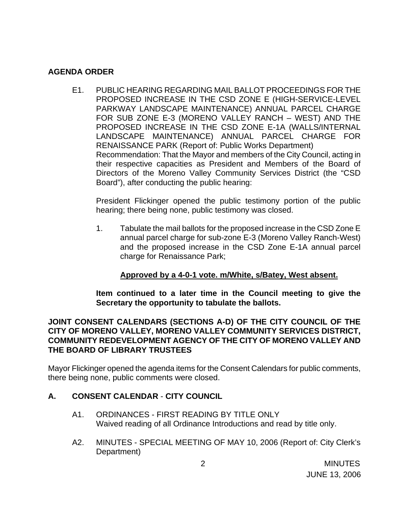### **AGENDA ORDER**

E1. PUBLIC HEARING REGARDING MAIL BALLOT PROCEEDINGS FOR THE PROPOSED INCREASE IN THE CSD ZONE E (HIGH-SERVICE-LEVEL PARKWAY LANDSCAPE MAINTENANCE) ANNUAL PARCEL CHARGE FOR SUB ZONE E-3 (MORENO VALLEY RANCH – WEST) AND THE PROPOSED INCREASE IN THE CSD ZONE E-1A (WALLS/INTERNAL LANDSCAPE MAINTENANCE) ANNUAL PARCEL CHARGE FOR RENAISSANCE PARK (Report of: Public Works Department) Recommendation: That the Mayor and members of the City Council, acting in their respective capacities as President and Members of the Board of Directors of the Moreno Valley Community Services District (the "CSD Board"), after conducting the public hearing:

 President Flickinger opened the public testimony portion of the public hearing; there being none, public testimony was closed.

1. Tabulate the mail ballots for the proposed increase in the CSD Zone E annual parcel charge for sub-zone E-3 (Moreno Valley Ranch-West) and the proposed increase in the CSD Zone E-1A annual parcel charge for Renaissance Park;

# **Approved by a 4-0-1 vote. m/White, s/Batey, West absent.**

**Item continued to a later time in the Council meeting to give the Secretary the opportunity to tabulate the ballots.** 

### **JOINT CONSENT CALENDARS (SECTIONS A-D) OF THE CITY COUNCIL OF THE CITY OF MORENO VALLEY, MORENO VALLEY COMMUNITY SERVICES DISTRICT, COMMUNITY REDEVELOPMENT AGENCY OF THE CITY OF MORENO VALLEY AND THE BOARD OF LIBRARY TRUSTEES**

Mayor Flickinger opened the agenda items for the Consent Calendars for public comments, there being none, public comments were closed.

# **A. CONSENT CALENDAR** - **CITY COUNCIL**

- A1. ORDINANCES FIRST READING BY TITLE ONLY Waived reading of all Ordinance Introductions and read by title only.
- A2. MINUTES SPECIAL MEETING OF MAY 10, 2006 (Report of: City Clerk's Department)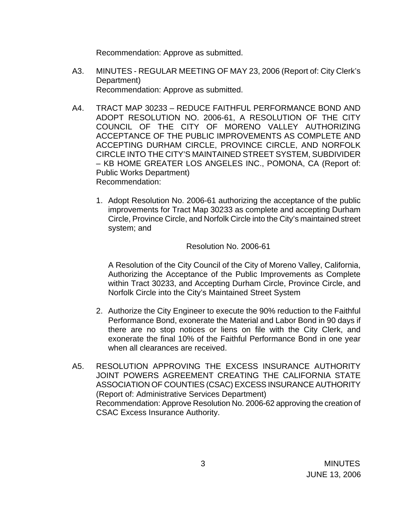Recommendation: Approve as submitted.

- A3. MINUTES REGULAR MEETING OF MAY 23, 2006 (Report of: City Clerk's Department) Recommendation: Approve as submitted.
- A4. TRACT MAP 30233 REDUCE FAITHFUL PERFORMANCE BOND AND ADOPT RESOLUTION NO. 2006-61, A RESOLUTION OF THE CITY COUNCIL OF THE CITY OF MORENO VALLEY AUTHORIZING ACCEPTANCE OF THE PUBLIC IMPROVEMENTS AS COMPLETE AND ACCEPTING DURHAM CIRCLE, PROVINCE CIRCLE, AND NORFOLK CIRCLE INTO THE CITY'S MAINTAINED STREET SYSTEM, SUBDIVIDER – KB HOME GREATER LOS ANGELES INC., POMONA, CA (Report of: Public Works Department) Recommendation:
	- 1. Adopt Resolution No. 2006-61 authorizing the acceptance of the public improvements for Tract Map 30233 as complete and accepting Durham Circle, Province Circle, and Norfolk Circle into the City's maintained street system; and

### Resolution No. 2006-61

 A Resolution of the City Council of the City of Moreno Valley, California, Authorizing the Acceptance of the Public Improvements as Complete within Tract 30233, and Accepting Durham Circle, Province Circle, and Norfolk Circle into the City's Maintained Street System

- 2. Authorize the City Engineer to execute the 90% reduction to the Faithful Performance Bond, exonerate the Material and Labor Bond in 90 days if there are no stop notices or liens on file with the City Clerk, and exonerate the final 10% of the Faithful Performance Bond in one year when all clearances are received.
- A5. RESOLUTION APPROVING THE EXCESS INSURANCE AUTHORITY JOINT POWERS AGREEMENT CREATING THE CALIFORNIA STATE ASSOCIATION OF COUNTIES (CSAC) EXCESS INSURANCE AUTHORITY (Report of: Administrative Services Department) Recommendation: Approve Resolution No. 2006-62 approving the creation of CSAC Excess Insurance Authority.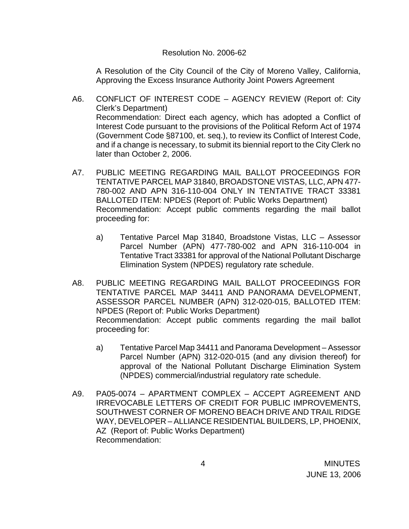#### Resolution No. 2006-62

A Resolution of the City Council of the City of Moreno Valley, California, Approving the Excess Insurance Authority Joint Powers Agreement

- A6. CONFLICT OF INTEREST CODE AGENCY REVIEW (Report of: City Clerk's Department) Recommendation: Direct each agency, which has adopted a Conflict of Interest Code pursuant to the provisions of the Political Reform Act of 1974 (Government Code §87100, et. seq.), to review its Conflict of Interest Code, and if a change is necessary, to submit its biennial report to the City Clerk no later than October 2, 2006.
- A7. PUBLIC MEETING REGARDING MAIL BALLOT PROCEEDINGS FOR TENTATIVE PARCEL MAP 31840, BROADSTONE VISTAS, LLC, APN 477- 780-002 AND APN 316-110-004 ONLY IN TENTATIVE TRACT 33381 BALLOTED ITEM: NPDES (Report of: Public Works Department) Recommendation: Accept public comments regarding the mail ballot proceeding for:
	- a) Tentative Parcel Map 31840, Broadstone Vistas, LLC Assessor Parcel Number (APN) 477-780-002 and APN 316-110-004 in Tentative Tract 33381 for approval of the National Pollutant Discharge Elimination System (NPDES) regulatory rate schedule.
- A8. PUBLIC MEETING REGARDING MAIL BALLOT PROCEEDINGS FOR TENTATIVE PARCEL MAP 34411 AND PANORAMA DEVELOPMENT, ASSESSOR PARCEL NUMBER (APN) 312-020-015, BALLOTED ITEM: NPDES (Report of: Public Works Department) Recommendation: Accept public comments regarding the mail ballot proceeding for:
	- a) Tentative Parcel Map 34411 and Panorama Development Assessor Parcel Number (APN) 312-020-015 (and any division thereof) for approval of the National Pollutant Discharge Elimination System (NPDES) commercial/industrial regulatory rate schedule.
- A9. PA05-0074 APARTMENT COMPLEX ACCEPT AGREEMENT AND IRREVOCABLE LETTERS OF CREDIT FOR PUBLIC IMPROVEMENTS, SOUTHWEST CORNER OF MORENO BEACH DRIVE AND TRAIL RIDGE WAY, DEVELOPER – ALLIANCE RESIDENTIAL BUILDERS, LP, PHOENIX, AZ (Report of: Public Works Department) Recommendation: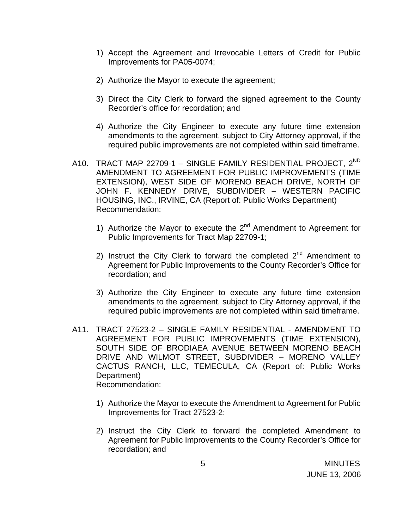- 1) Accept the Agreement and Irrevocable Letters of Credit for Public Improvements for PA05-0074;
- 2) Authorize the Mayor to execute the agreement;
- 3) Direct the City Clerk to forward the signed agreement to the County Recorder's office for recordation; and
- 4) Authorize the City Engineer to execute any future time extension amendments to the agreement, subject to City Attorney approval, if the required public improvements are not completed within said timeframe.
- A10. TRACT MAP 22709-1 SINGLE FAMILY RESIDENTIAL PROJECT, 2<sup>ND</sup> AMENDMENT TO AGREEMENT FOR PUBLIC IMPROVEMENTS (TIME EXTENSION), WEST SIDE OF MORENO BEACH DRIVE, NORTH OF JOHN F. KENNEDY DRIVE, SUBDIVIDER – WESTERN PACIFIC HOUSING, INC., IRVINE, CA (Report of: Public Works Department) Recommendation:
	- 1) Authorize the Mayor to execute the  $2^{nd}$  Amendment to Agreement for Public Improvements for Tract Map 22709-1;
	- 2) Instruct the City Clerk to forward the completed  $2^{nd}$  Amendment to Agreement for Public Improvements to the County Recorder's Office for recordation; and
	- 3) Authorize the City Engineer to execute any future time extension amendments to the agreement, subject to City Attorney approval, if the required public improvements are not completed within said timeframe.
- A11. TRACT 27523-2 SINGLE FAMILY RESIDENTIAL AMENDMENT TO AGREEMENT FOR PUBLIC IMPROVEMENTS (TIME EXTENSION), SOUTH SIDE OF BRODIAEA AVENUE BETWEEN MORENO BEACH DRIVE AND WILMOT STREET, SUBDIVIDER – MORENO VALLEY CACTUS RANCH, LLC, TEMECULA, CA (Report of: Public Works Department) Recommendation:
	- 1) Authorize the Mayor to execute the Amendment to Agreement for Public Improvements for Tract 27523-2:
	- 2) Instruct the City Clerk to forward the completed Amendment to Agreement for Public Improvements to the County Recorder's Office for recordation; and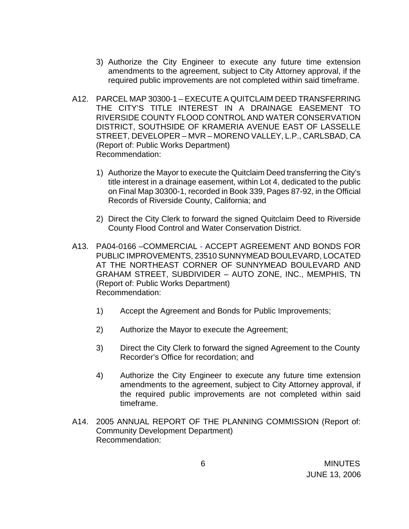- 3) Authorize the City Engineer to execute any future time extension amendments to the agreement, subject to City Attorney approval, if the required public improvements are not completed within said timeframe.
- A12. PARCEL MAP 30300-1 EXECUTE A QUITCLAIM DEED TRANSFERRING THE CITY'S TITLE INTEREST IN A DRAINAGE EASEMENT TO RIVERSIDE COUNTY FLOOD CONTROL AND WATER CONSERVATION DISTRICT, SOUTHSIDE OF KRAMERIA AVENUE EAST OF LASSELLE STREET, DEVELOPER – MVR – MORENO VALLEY, L.P., CARLSBAD, CA (Report of: Public Works Department) Recommendation:
	- 1) Authorize the Mayor to execute the Quitclaim Deed transferring the City's title interest in a drainage easement, within Lot 4, dedicated to the public on Final Map 30300-1, recorded in Book 339, Pages 87-92, in the Official Records of Riverside County, California; and
	- 2) Direct the City Clerk to forward the signed Quitclaim Deed to Riverside County Flood Control and Water Conservation District.
- A13. PA04-0166 –COMMERCIAL ACCEPT AGREEMENT AND BONDS FOR PUBLIC IMPROVEMENTS, 23510 SUNNYMEAD BOULEVARD, LOCATED AT THE NORTHEAST CORNER OF SUNNYMEAD BOULEVARD AND GRAHAM STREET, SUBDIVIDER – AUTO ZONE, INC., MEMPHIS, TN (Report of: Public Works Department) Recommendation:
	- 1) Accept the Agreement and Bonds for Public Improvements;
	- 2) Authorize the Mayor to execute the Agreement;
	- 3) Direct the City Clerk to forward the signed Agreement to the County Recorder's Office for recordation; and
	- 4) Authorize the City Engineer to execute any future time extension amendments to the agreement, subject to City Attorney approval, if the required public improvements are not completed within said timeframe.
- A14. 2005 ANNUAL REPORT OF THE PLANNING COMMISSION (Report of: Community Development Department) Recommendation: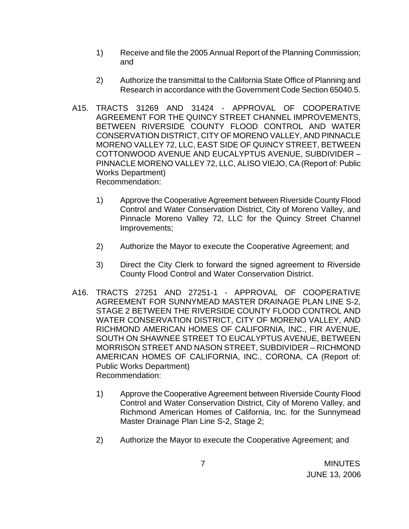- 1) Receive and file the 2005 Annual Report of the Planning Commission; and
- 2) Authorize the transmittal to the California State Office of Planning and Research in accordance with the Government Code Section 65040.5.
- A15. TRACTS 31269 AND 31424 APPROVAL OF COOPERATIVE AGREEMENT FOR THE QUINCY STREET CHANNEL IMPROVEMENTS, BETWEEN RIVERSIDE COUNTY FLOOD CONTROL AND WATER CONSERVATION DISTRICT, CITY OF MORENO VALLEY, AND PINNACLE MORENO VALLEY 72, LLC, EAST SIDE OF QUINCY STREET, BETWEEN COTTONWOOD AVENUE AND EUCALYPTUS AVENUE, SUBDIVIDER – PINNACLE MORENO VALLEY 72, LLC, ALISO VIEJO, CA (Report of: Public Works Department) Recommendation:
	- 1) Approve the Cooperative Agreement between Riverside County Flood Control and Water Conservation District, City of Moreno Valley, and Pinnacle Moreno Valley 72, LLC for the Quincy Street Channel Improvements;
	- 2) Authorize the Mayor to execute the Cooperative Agreement; and
	- 3) Direct the City Clerk to forward the signed agreement to Riverside County Flood Control and Water Conservation District.
- A16. TRACTS 27251 AND 27251-1 APPROVAL OF COOPERATIVE AGREEMENT FOR SUNNYMEAD MASTER DRAINAGE PLAN LINE S-2, STAGE 2 BETWEEN THE RIVERSIDE COUNTY FLOOD CONTROL AND WATER CONSERVATION DISTRICT, CITY OF MORENO VALLEY, AND RICHMOND AMERICAN HOMES OF CALIFORNIA, INC., FIR AVENUE, SOUTH ON SHAWNEE STREET TO EUCALYPTUS AVENUE, BETWEEN MORRISON STREET AND NASON STREET, SUBDIVIDER – RICHMOND AMERICAN HOMES OF CALIFORNIA, INC., CORONA, CA (Report of: Public Works Department) Recommendation:
	- 1) Approve the Cooperative Agreement between Riverside County Flood Control and Water Conservation District, City of Moreno Valley, and Richmond American Homes of California, Inc. for the Sunnymead Master Drainage Plan Line S-2, Stage 2;
	- 2) Authorize the Mayor to execute the Cooperative Agreement; and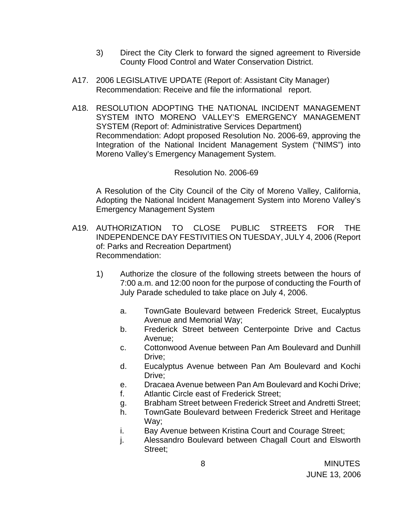- 3) Direct the City Clerk to forward the signed agreement to Riverside County Flood Control and Water Conservation District.
- A17. 2006 LEGISLATIVE UPDATE (Report of: Assistant City Manager) Recommendation: Receive and file the informational report.
- A18. RESOLUTION ADOPTING THE NATIONAL INCIDENT MANAGEMENT SYSTEM INTO MORENO VALLEY'S EMERGENCY MANAGEMENT SYSTEM (Report of: Administrative Services Department) Recommendation: Adopt proposed Resolution No. 2006-69, approving the Integration of the National Incident Management System ("NIMS") into Moreno Valley's Emergency Management System.

### Resolution No. 2006-69

 A Resolution of the City Council of the City of Moreno Valley, California, Adopting the National Incident Management System into Moreno Valley's Emergency Management System

- A19. AUTHORIZATION TO CLOSE PUBLIC STREETS FOR THE INDEPENDENCE DAY FESTIVITIES ON TUESDAY, JULY 4, 2006 (Report of: Parks and Recreation Department) Recommendation:
	- 1) Authorize the closure of the following streets between the hours of 7:00 a.m. and 12:00 noon for the purpose of conducting the Fourth of July Parade scheduled to take place on July 4, 2006.
		- a. TownGate Boulevard between Frederick Street, Eucalyptus Avenue and Memorial Way;
		- b. Frederick Street between Centerpointe Drive and Cactus Avenue;
		- c. Cottonwood Avenue between Pan Am Boulevard and Dunhill Drive;
		- d. Eucalyptus Avenue between Pan Am Boulevard and Kochi Drive:
		- e. Dracaea Avenue between Pan Am Boulevard and Kochi Drive;
		- f. Atlantic Circle east of Frederick Street;
		- g. Brabham Street between Frederick Street and Andretti Street;
		- h. TownGate Boulevard between Frederick Street and Heritage Way;
		- i. Bay Avenue between Kristina Court and Courage Street;
		- j. Alessandro Boulevard between Chagall Court and Elsworth Street;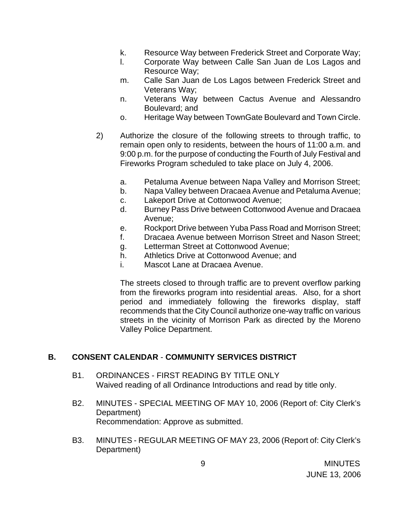- k. Resource Way between Frederick Street and Corporate Way;
- l. Corporate Way between Calle San Juan de Los Lagos and Resource Way;
- m. Calle San Juan de Los Lagos between Frederick Street and Veterans Way;
- n. Veterans Way between Cactus Avenue and Alessandro Boulevard; and
- o. Heritage Way between TownGate Boulevard and Town Circle.
- 2) Authorize the closure of the following streets to through traffic, to remain open only to residents, between the hours of 11:00 a.m. and 9:00 p.m. for the purpose of conducting the Fourth of July Festival and Fireworks Program scheduled to take place on July 4, 2006.
	- a. Petaluma Avenue between Napa Valley and Morrison Street;
	- b. Napa Valley between Dracaea Avenue and Petaluma Avenue;
	- c. Lakeport Drive at Cottonwood Avenue;
	- d. Burney Pass Drive between Cottonwood Avenue and Dracaea Avenue;
	- e. Rockport Drive between Yuba Pass Road and Morrison Street;
	- f. Dracaea Avenue between Morrison Street and Nason Street;
	- g. Letterman Street at Cottonwood Avenue;
	- h. Athletics Drive at Cottonwood Avenue; and
	- i. Mascot Lane at Dracaea Avenue.

The streets closed to through traffic are to prevent overflow parking from the fireworks program into residential areas. Also, for a short period and immediately following the fireworks display, staff recommends that the City Council authorize one-way traffic on various streets in the vicinity of Morrison Park as directed by the Moreno Valley Police Department.

### **B. CONSENT CALENDAR** - **COMMUNITY SERVICES DISTRICT**

- B1. ORDINANCES FIRST READING BY TITLE ONLY Waived reading of all Ordinance Introductions and read by title only.
- B2. MINUTES SPECIAL MEETING OF MAY 10, 2006 (Report of: City Clerk's Department) Recommendation: Approve as submitted.
- B3. MINUTES REGULAR MEETING OF MAY 23, 2006 (Report of: City Clerk's Department)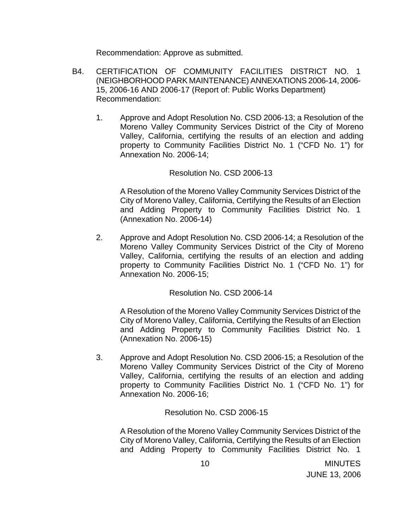Recommendation: Approve as submitted.

- B4. CERTIFICATION OF COMMUNITY FACILITIES DISTRICT NO. 1 (NEIGHBORHOOD PARK MAINTENANCE) ANNEXATIONS 2006-14, 2006- 15, 2006-16 AND 2006-17 (Report of: Public Works Department) Recommendation:
	- 1. Approve and Adopt Resolution No. CSD 2006-13; a Resolution of the Moreno Valley Community Services District of the City of Moreno Valley, California, certifying the results of an election and adding property to Community Facilities District No. 1 ("CFD No. 1") for Annexation No. 2006-14;

### Resolution No. CSD 2006-13

A Resolution of the Moreno Valley Community Services District of the City of Moreno Valley, California, Certifying the Results of an Election and Adding Property to Community Facilities District No. 1 (Annexation No. 2006-14)

2. Approve and Adopt Resolution No. CSD 2006-14; a Resolution of the Moreno Valley Community Services District of the City of Moreno Valley, California, certifying the results of an election and adding property to Community Facilities District No. 1 ("CFD No. 1") for Annexation No. 2006-15;

Resolution No. CSD 2006-14

A Resolution of the Moreno Valley Community Services District of the City of Moreno Valley, California, Certifying the Results of an Election and Adding Property to Community Facilities District No. 1 (Annexation No. 2006-15)

3. Approve and Adopt Resolution No. CSD 2006-15; a Resolution of the Moreno Valley Community Services District of the City of Moreno Valley, California, certifying the results of an election and adding property to Community Facilities District No. 1 ("CFD No. 1") for Annexation No. 2006-16;

Resolution No. CSD 2006-15

A Resolution of the Moreno Valley Community Services District of the City of Moreno Valley, California, Certifying the Results of an Election and Adding Property to Community Facilities District No. 1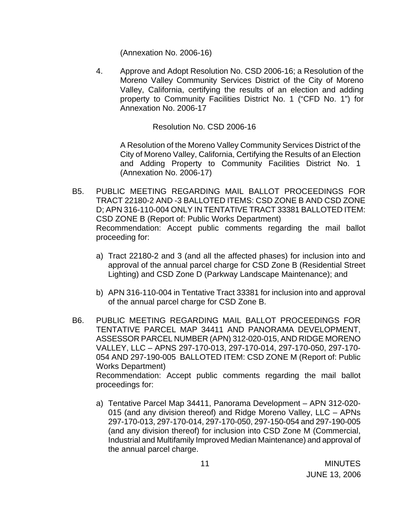(Annexation No. 2006-16)

4. Approve and Adopt Resolution No. CSD 2006-16; a Resolution of the Moreno Valley Community Services District of the City of Moreno Valley, California, certifying the results of an election and adding property to Community Facilities District No. 1 ("CFD No. 1") for Annexation No. 2006-17

Resolution No. CSD 2006-16

 A Resolution of the Moreno Valley Community Services District of the City of Moreno Valley, California, Certifying the Results of an Election and Adding Property to Community Facilities District No. 1 (Annexation No. 2006-17)

- B5. PUBLIC MEETING REGARDING MAIL BALLOT PROCEEDINGS FOR TRACT 22180-2 AND -3 BALLOTED ITEMS: CSD ZONE B AND CSD ZONE D; APN 316-110-004 ONLY IN TENTATIVE TRACT 33381 BALLOTED ITEM: CSD ZONE B (Report of: Public Works Department) Recommendation: Accept public comments regarding the mail ballot proceeding for:
	- a) Tract 22180-2 and 3 (and all the affected phases) for inclusion into and approval of the annual parcel charge for CSD Zone B (Residential Street Lighting) and CSD Zone D (Parkway Landscape Maintenance); and
	- b) APN 316-110-004 in Tentative Tract 33381 for inclusion into and approval of the annual parcel charge for CSD Zone B.
- B6. PUBLIC MEETING REGARDING MAIL BALLOT PROCEEDINGS FOR TENTATIVE PARCEL MAP 34411 AND PANORAMA DEVELOPMENT, ASSESSOR PARCEL NUMBER (APN) 312-020-015, AND RIDGE MORENO VALLEY, LLC – APNS 297-170-013, 297-170-014, 297-170-050, 297-170- 054 AND 297-190-005 BALLOTED ITEM: CSD ZONE M (Report of: Public Works Department) Recommendation: Accept public comments regarding the mail ballot proceedings for:
	- a) Tentative Parcel Map 34411, Panorama Development APN 312-020- 015 (and any division thereof) and Ridge Moreno Valley, LLC – APNs 297-170-013, 297-170-014, 297-170-050, 297-150-054 and 297-190-005 (and any division thereof) for inclusion into CSD Zone M (Commercial, Industrial and Multifamily Improved Median Maintenance) and approval of the annual parcel charge.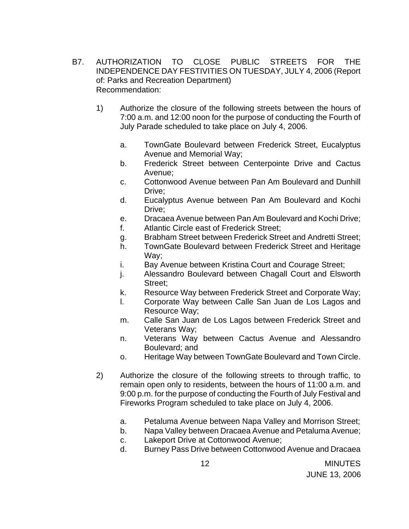- B7. AUTHORIZATION TO CLOSE PUBLIC STREETS FOR THE INDEPENDENCE DAY FESTIVITIES ON TUESDAY, JULY 4, 2006 (Report of: Parks and Recreation Department) Recommendation:
	- 1) Authorize the closure of the following streets between the hours of 7:00 a.m. and 12:00 noon for the purpose of conducting the Fourth of July Parade scheduled to take place on July 4, 2006.
		- a. TownGate Boulevard between Frederick Street, Eucalyptus Avenue and Memorial Way;
		- b. Frederick Street between Centerpointe Drive and Cactus Avenue;
		- c. Cottonwood Avenue between Pan Am Boulevard and Dunhill Drive;
		- d. Eucalyptus Avenue between Pan Am Boulevard and Kochi Drive;
		- e. Dracaea Avenue between Pan Am Boulevard and Kochi Drive;
		- f. Atlantic Circle east of Frederick Street;
		- g. Brabham Street between Frederick Street and Andretti Street;
		- h. TownGate Boulevard between Frederick Street and Heritage Way;
		- i. Bay Avenue between Kristina Court and Courage Street;
		- j. Alessandro Boulevard between Chagall Court and Elsworth Street;
		- k. Resource Way between Frederick Street and Corporate Way;
		- l. Corporate Way between Calle San Juan de Los Lagos and Resource Way;
		- m. Calle San Juan de Los Lagos between Frederick Street and Veterans Way;
		- n. Veterans Way between Cactus Avenue and Alessandro Boulevard; and
		- o. Heritage Way between TownGate Boulevard and Town Circle.
	- 2) Authorize the closure of the following streets to through traffic, to remain open only to residents, between the hours of 11:00 a.m. and 9:00 p.m. for the purpose of conducting the Fourth of July Festival and Fireworks Program scheduled to take place on July 4, 2006.
		- a. Petaluma Avenue between Napa Valley and Morrison Street;
		- b. Napa Valley between Dracaea Avenue and Petaluma Avenue;
		- c. Lakeport Drive at Cottonwood Avenue;
		- d. Burney Pass Drive between Cottonwood Avenue and Dracaea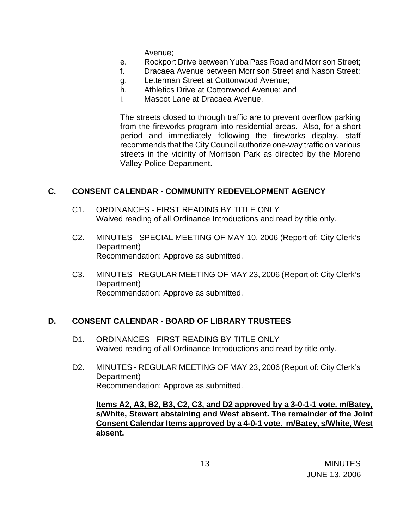Avenue;

- e. Rockport Drive between Yuba Pass Road and Morrison Street;
- f. Dracaea Avenue between Morrison Street and Nason Street;
- g. Letterman Street at Cottonwood Avenue;
- h. Athletics Drive at Cottonwood Avenue; and
- i. Mascot Lane at Dracaea Avenue.

The streets closed to through traffic are to prevent overflow parking from the fireworks program into residential areas. Also, for a short period and immediately following the fireworks display, staff recommends that the City Council authorize one-way traffic on various streets in the vicinity of Morrison Park as directed by the Moreno Valley Police Department.

### **C. CONSENT CALENDAR** - **COMMUNITY REDEVELOPMENT AGENCY**

- C1. ORDINANCES FIRST READING BY TITLE ONLY Waived reading of all Ordinance Introductions and read by title only.
- C2. MINUTES SPECIAL MEETING OF MAY 10, 2006 (Report of: City Clerk's Department) Recommendation: Approve as submitted.
- C3. MINUTES REGULAR MEETING OF MAY 23, 2006 (Report of: City Clerk's Department) Recommendation: Approve as submitted.

### **D. CONSENT CALENDAR** - **BOARD OF LIBRARY TRUSTEES**

- D1. ORDINANCES FIRST READING BY TITLE ONLY Waived reading of all Ordinance Introductions and read by title only.
- D2. MINUTES REGULAR MEETING OF MAY 23, 2006 (Report of: City Clerk's Department) Recommendation: Approve as submitted.

 **Items A2, A3, B2, B3, C2, C3, and D2 approved by a 3-0-1-1 vote. m/Batey, s/White, Stewart abstaining and West absent. The remainder of the Joint Consent Calendar Items approved by a 4-0-1 vote. m/Batey, s/White, West absent.**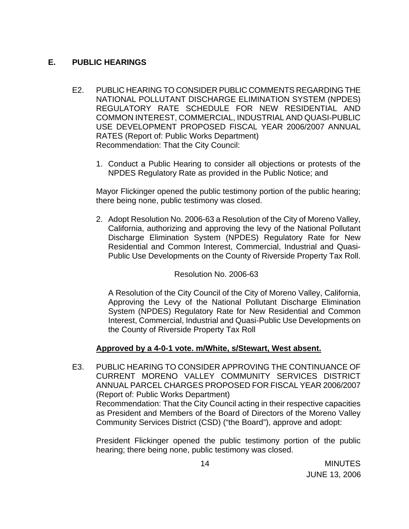# **E. PUBLIC HEARINGS**

- E2. PUBLIC HEARING TO CONSIDER PUBLIC COMMENTS REGARDING THE NATIONAL POLLUTANT DISCHARGE ELIMINATION SYSTEM (NPDES) REGULATORY RATE SCHEDULE FOR NEW RESIDENTIAL AND COMMON INTEREST, COMMERCIAL, INDUSTRIAL AND QUASI-PUBLIC USE DEVELOPMENT PROPOSED FISCAL YEAR 2006/2007 ANNUAL RATES (Report of: Public Works Department) Recommendation: That the City Council:
	- 1. Conduct a Public Hearing to consider all objections or protests of the NPDES Regulatory Rate as provided in the Public Notice; and

 Mayor Flickinger opened the public testimony portion of the public hearing; there being none, public testimony was closed.

2. Adopt Resolution No. 2006-63 a Resolution of the City of Moreno Valley, California, authorizing and approving the levy of the National Pollutant Discharge Elimination System (NPDES) Regulatory Rate for New Residential and Common Interest, Commercial, Industrial and Quasi-Public Use Developments on the County of Riverside Property Tax Roll.

# Resolution No. 2006-63

A Resolution of the City Council of the City of Moreno Valley, California, Approving the Levy of the National Pollutant Discharge Elimination System (NPDES) Regulatory Rate for New Residential and Common Interest, Commercial, Industrial and Quasi-Public Use Developments on the County of Riverside Property Tax Roll

# **Approved by a 4-0-1 vote. m/White, s/Stewart, West absent.**

E3. PUBLIC HEARING TO CONSIDER APPROVING THE CONTINUANCE OF CURRENT MORENO VALLEY COMMUNITY SERVICES DISTRICT ANNUAL PARCEL CHARGES PROPOSED FOR FISCAL YEAR 2006/2007 (Report of: Public Works Department) Recommendation: That the City Council acting in their respective capacities as President and Members of the Board of Directors of the Moreno Valley Community Services District (CSD) ("the Board"), approve and adopt:

 President Flickinger opened the public testimony portion of the public hearing; there being none, public testimony was closed.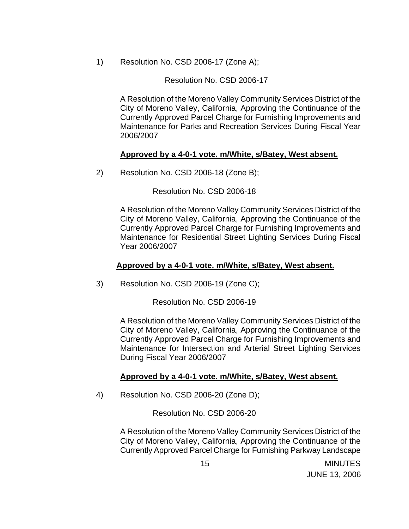1) Resolution No. CSD 2006-17 (Zone A);

### Resolution No. CSD 2006-17

 A Resolution of the Moreno Valley Community Services District of the City of Moreno Valley, California, Approving the Continuance of the Currently Approved Parcel Charge for Furnishing Improvements and Maintenance for Parks and Recreation Services During Fiscal Year 2006/2007

### **Approved by a 4-0-1 vote. m/White, s/Batey, West absent.**

2) Resolution No. CSD 2006-18 (Zone B);

Resolution No. CSD 2006-18

 A Resolution of the Moreno Valley Community Services District of the City of Moreno Valley, California, Approving the Continuance of the Currently Approved Parcel Charge for Furnishing Improvements and Maintenance for Residential Street Lighting Services During Fiscal Year 2006/2007

### **Approved by a 4-0-1 vote. m/White, s/Batey, West absent.**

3) Resolution No. CSD 2006-19 (Zone C);

Resolution No. CSD 2006-19

A Resolution of the Moreno Valley Community Services District of the City of Moreno Valley, California, Approving the Continuance of the Currently Approved Parcel Charge for Furnishing Improvements and Maintenance for Intersection and Arterial Street Lighting Services During Fiscal Year 2006/2007

# **Approved by a 4-0-1 vote. m/White, s/Batey, West absent.**

4) Resolution No. CSD 2006-20 (Zone D);

Resolution No. CSD 2006-20

A Resolution of the Moreno Valley Community Services District of the City of Moreno Valley, California, Approving the Continuance of the Currently Approved Parcel Charge for Furnishing Parkway Landscape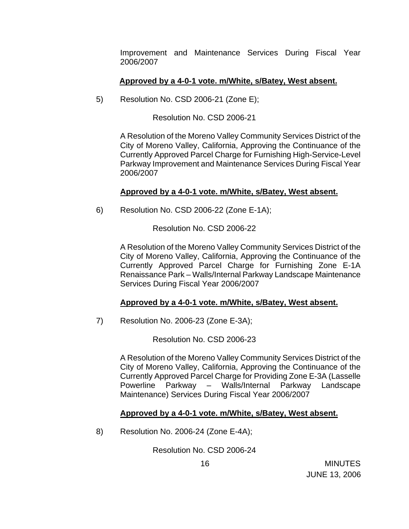Improvement and Maintenance Services During Fiscal Year 2006/2007

### **Approved by a 4-0-1 vote. m/White, s/Batey, West absent.**

5) Resolution No. CSD 2006-21 (Zone E);

Resolution No. CSD 2006-21

A Resolution of the Moreno Valley Community Services District of the City of Moreno Valley, California, Approving the Continuance of the Currently Approved Parcel Charge for Furnishing High-Service-Level Parkway Improvement and Maintenance Services During Fiscal Year 2006/2007

### **Approved by a 4-0-1 vote. m/White, s/Batey, West absent.**

6) Resolution No. CSD 2006-22 (Zone E-1A);

Resolution No. CSD 2006-22

A Resolution of the Moreno Valley Community Services District of the City of Moreno Valley, California, Approving the Continuance of the Currently Approved Parcel Charge for Furnishing Zone E-1A Renaissance Park – Walls/Internal Parkway Landscape Maintenance Services During Fiscal Year 2006/2007

# **Approved by a 4-0-1 vote. m/White, s/Batey, West absent.**

7) Resolution No. 2006-23 (Zone E-3A);

Resolution No. CSD 2006-23

 A Resolution of the Moreno Valley Community Services District of the City of Moreno Valley, California, Approving the Continuance of the Currently Approved Parcel Charge for Providing Zone E-3A (Lasselle Powerline Parkway – Walls/Internal Parkway Landscape Maintenance) Services During Fiscal Year 2006/2007

### **Approved by a 4-0-1 vote. m/White, s/Batey, West absent.**

8) Resolution No. 2006-24 (Zone E-4A);

Resolution No. CSD 2006-24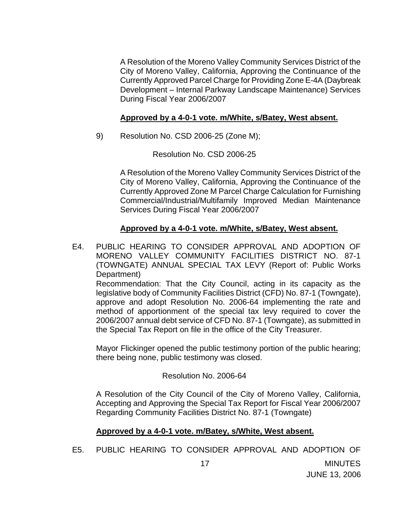A Resolution of the Moreno Valley Community Services District of the City of Moreno Valley, California, Approving the Continuance of the Currently Approved Parcel Charge for Providing Zone E-4A (Daybreak Development – Internal Parkway Landscape Maintenance) Services During Fiscal Year 2006/2007

### **Approved by a 4-0-1 vote. m/White, s/Batey, West absent.**

9) Resolution No. CSD 2006-25 (Zone M);

Resolution No. CSD 2006-25

A Resolution of the Moreno Valley Community Services District of the City of Moreno Valley, California, Approving the Continuance of the Currently Approved Zone M Parcel Charge Calculation for Furnishing Commercial/Industrial/Multifamily Improved Median Maintenance Services During Fiscal Year 2006/2007

# **Approved by a 4-0-1 vote. m/White, s/Batey, West absent.**

E4. PUBLIC HEARING TO CONSIDER APPROVAL AND ADOPTION OF MORENO VALLEY COMMUNITY FACILITIES DISTRICT NO. 87-1 (TOWNGATE) ANNUAL SPECIAL TAX LEVY (Report of: Public Works Department)

Recommendation: That the City Council, acting in its capacity as the legislative body of Community Facilities District (CFD) No. 87-1 (Towngate), approve and adopt Resolution No. 2006-64 implementing the rate and method of apportionment of the special tax levy required to cover the 2006/2007 annual debt service of CFD No. 87-1 (Towngate), as submitted in the Special Tax Report on file in the office of the City Treasurer.

Mayor Flickinger opened the public testimony portion of the public hearing; there being none, public testimony was closed.

### Resolution No. 2006-64

A Resolution of the City Council of the City of Moreno Valley, California, Accepting and Approving the Special Tax Report for Fiscal Year 2006/2007 Regarding Community Facilities District No. 87-1 (Towngate)

JUNE 13, 2006

### **Approved by a 4-0-1 vote. m/Batey, s/White, West absent.**

E5. PUBLIC HEARING TO CONSIDER APPROVAL AND ADOPTION OF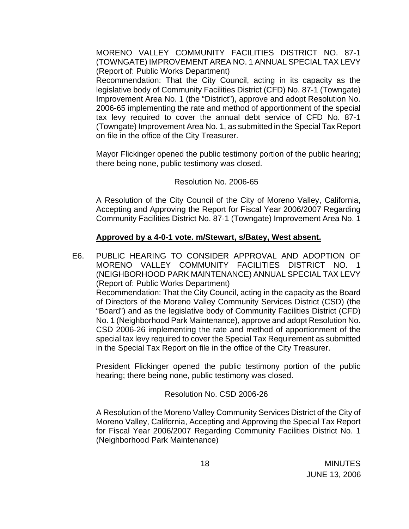MORENO VALLEY COMMUNITY FACILITIES DISTRICT NO. 87-1 (TOWNGATE) IMPROVEMENT AREA NO. 1 ANNUAL SPECIAL TAX LEVY (Report of: Public Works Department)

 Recommendation: That the City Council, acting in its capacity as the legislative body of Community Facilities District (CFD) No. 87-1 (Towngate) Improvement Area No. 1 (the "District"), approve and adopt Resolution No. 2006-65 implementing the rate and method of apportionment of the special tax levy required to cover the annual debt service of CFD No. 87-1 (Towngate) Improvement Area No. 1, as submitted in the Special Tax Report on file in the office of the City Treasurer.

Mayor Flickinger opened the public testimony portion of the public hearing; there being none, public testimony was closed.

# Resolution No. 2006-65

 A Resolution of the City Council of the City of Moreno Valley, California, Accepting and Approving the Report for Fiscal Year 2006/2007 Regarding Community Facilities District No. 87-1 (Towngate) Improvement Area No. 1

### **Approved by a 4-0-1 vote. m/Stewart, s/Batey, West absent.**

E6. PUBLIC HEARING TO CONSIDER APPROVAL AND ADOPTION OF MORENO VALLEY COMMUNITY FACILITIES DISTRICT NO. 1 (NEIGHBORHOOD PARK MAINTENANCE) ANNUAL SPECIAL TAX LEVY (Report of: Public Works Department) Recommendation: That the City Council, acting in the capacity as the Board of Directors of the Moreno Valley Community Services District (CSD) (the "Board") and as the legislative body of Community Facilities District (CFD) No. 1 (Neighborhood Park Maintenance), approve and adopt Resolution No. CSD 2006-26 implementing the rate and method of apportionment of the special tax levy required to cover the Special Tax Requirement as submitted in the Special Tax Report on file in the office of the City Treasurer.

President Flickinger opened the public testimony portion of the public hearing; there being none, public testimony was closed.

# Resolution No. CSD 2006-26

 A Resolution of the Moreno Valley Community Services District of the City of Moreno Valley, California, Accepting and Approving the Special Tax Report for Fiscal Year 2006/2007 Regarding Community Facilities District No. 1 (Neighborhood Park Maintenance)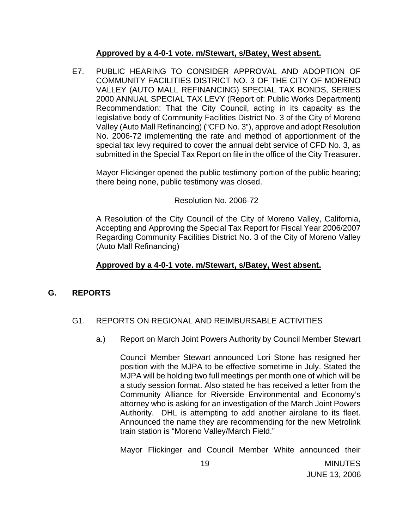### **Approved by a 4-0-1 vote. m/Stewart, s/Batey, West absent.**

E7. PUBLIC HEARING TO CONSIDER APPROVAL AND ADOPTION OF COMMUNITY FACILITIES DISTRICT NO. 3 OF THE CITY OF MORENO VALLEY (AUTO MALL REFINANCING) SPECIAL TAX BONDS, SERIES 2000 ANNUAL SPECIAL TAX LEVY (Report of: Public Works Department) Recommendation: That the City Council, acting in its capacity as the legislative body of Community Facilities District No. 3 of the City of Moreno Valley (Auto Mall Refinancing) ("CFD No. 3"), approve and adopt Resolution No. 2006-72 implementing the rate and method of apportionment of the special tax levy required to cover the annual debt service of CFD No. 3, as submitted in the Special Tax Report on file in the office of the City Treasurer.

Mayor Flickinger opened the public testimony portion of the public hearing; there being none, public testimony was closed.

### Resolution No. 2006-72

A Resolution of the City Council of the City of Moreno Valley, California, Accepting and Approving the Special Tax Report for Fiscal Year 2006/2007 Regarding Community Facilities District No. 3 of the City of Moreno Valley (Auto Mall Refinancing)

### **Approved by a 4-0-1 vote. m/Stewart, s/Batey, West absent.**

# **G. REPORTS**

# G1. REPORTS ON REGIONAL AND REIMBURSABLE ACTIVITIES

a.) Report on March Joint Powers Authority by Council Member Stewart

 Council Member Stewart announced Lori Stone has resigned her position with the MJPA to be effective sometime in July. Stated the MJPA will be holding two full meetings per month one of which will be a study session format. Also stated he has received a letter from the Community Alliance for Riverside Environmental and Economy's attorney who is asking for an investigation of the March Joint Powers Authority. DHL is attempting to add another airplane to its fleet. Announced the name they are recommending for the new Metrolink train station is "Moreno Valley/March Field."

Mayor Flickinger and Council Member White announced their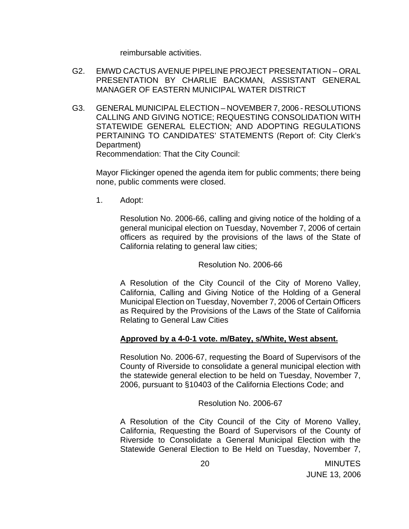reimbursable activities.

- G2. EMWD CACTUS AVENUE PIPELINE PROJECT PRESENTATION ORAL PRESENTATION BY CHARLIE BACKMAN, ASSISTANT GENERAL MANAGER OF EASTERN MUNICIPAL WATER DISTRICT
- G3. GENERAL MUNICIPAL ELECTION NOVEMBER 7, 2006 RESOLUTIONS CALLING AND GIVING NOTICE; REQUESTING CONSOLIDATION WITH STATEWIDE GENERAL ELECTION; AND ADOPTING REGULATIONS PERTAINING TO CANDIDATES' STATEMENTS (Report of: City Clerk's Department)

Recommendation: That the City Council:

 Mayor Flickinger opened the agenda item for public comments; there being none, public comments were closed.

1. Adopt:

Resolution No. 2006-66, calling and giving notice of the holding of a general municipal election on Tuesday, November 7, 2006 of certain officers as required by the provisions of the laws of the State of California relating to general law cities;

Resolution No. 2006-66

A Resolution of the City Council of the City of Moreno Valley, California, Calling and Giving Notice of the Holding of a General Municipal Election on Tuesday, November 7, 2006 of Certain Officers as Required by the Provisions of the Laws of the State of California Relating to General Law Cities

### **Approved by a 4-0-1 vote. m/Batey, s/White, West absent.**

Resolution No. 2006-67, requesting the Board of Supervisors of the County of Riverside to consolidate a general municipal election with the statewide general election to be held on Tuesday, November 7, 2006, pursuant to §10403 of the California Elections Code; and

Resolution No. 2006-67

A Resolution of the City Council of the City of Moreno Valley, California, Requesting the Board of Supervisors of the County of Riverside to Consolidate a General Municipal Election with the Statewide General Election to Be Held on Tuesday, November 7,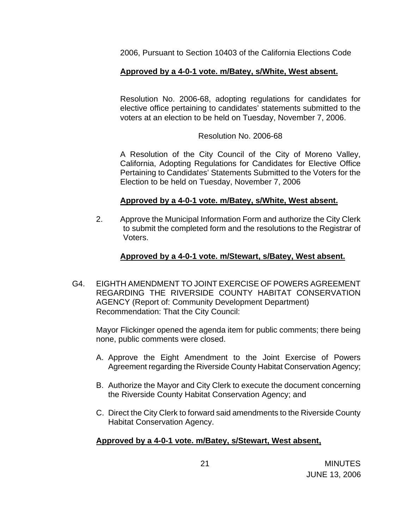2006, Pursuant to Section 10403 of the California Elections Code

# **Approved by a 4-0-1 vote. m/Batey, s/White, West absent.**

Resolution No. 2006-68, adopting regulations for candidates for elective office pertaining to candidates' statements submitted to the voters at an election to be held on Tuesday, November 7, 2006.

### Resolution No. 2006-68

A Resolution of the City Council of the City of Moreno Valley, California, Adopting Regulations for Candidates for Elective Office Pertaining to Candidates' Statements Submitted to the Voters for the Election to be held on Tuesday, November 7, 2006

### **Approved by a 4-0-1 vote. m/Batey, s/White, West absent.**

2. Approve the Municipal Information Form and authorize the City Clerk to submit the completed form and the resolutions to the Registrar of Voters.

### **Approved by a 4-0-1 vote. m/Stewart, s/Batey, West absent.**

G4. EIGHTH AMENDMENT TO JOINT EXERCISE OF POWERS AGREEMENT REGARDING THE RIVERSIDE COUNTY HABITAT CONSERVATION AGENCY (Report of: Community Development Department) Recommendation: That the City Council:

 Mayor Flickinger opened the agenda item for public comments; there being none, public comments were closed.

- A. Approve the Eight Amendment to the Joint Exercise of Powers Agreement regarding the Riverside County Habitat Conservation Agency;
- B. Authorize the Mayor and City Clerk to execute the document concerning the Riverside County Habitat Conservation Agency; and
- C. Direct the City Clerk to forward said amendments to the Riverside County Habitat Conservation Agency.

# **Approved by a 4-0-1 vote. m/Batey, s/Stewart, West absent,**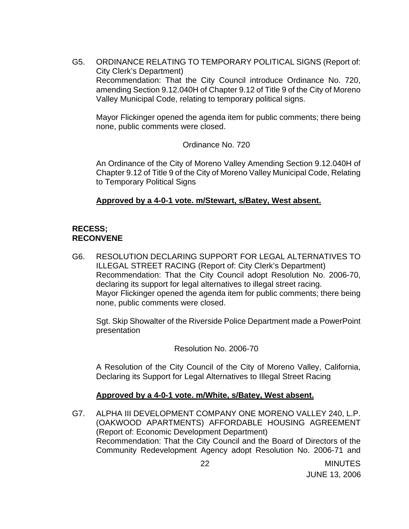G5. ORDINANCE RELATING TO TEMPORARY POLITICAL SIGNS (Report of: City Clerk's Department) Recommendation: That the City Council introduce Ordinance No. 720, amending Section 9.12.040H of Chapter 9.12 of Title 9 of the City of Moreno Valley Municipal Code, relating to temporary political signs.

 Mayor Flickinger opened the agenda item for public comments; there being none, public comments were closed.

Ordinance No. 720

 An Ordinance of the City of Moreno Valley Amending Section 9.12.040H of Chapter 9.12 of Title 9 of the City of Moreno Valley Municipal Code, Relating to Temporary Political Signs

### **Approved by a 4-0-1 vote. m/Stewart, s/Batey, West absent.**

# **RECESS; RECONVENE**

G6. RESOLUTION DECLARING SUPPORT FOR LEGAL ALTERNATIVES TO ILLEGAL STREET RACING (Report of: City Clerk's Department) Recommendation: That the City Council adopt Resolution No. 2006-70, declaring its support for legal alternatives to illegal street racing. Mayor Flickinger opened the agenda item for public comments; there being none, public comments were closed.

 Sgt. Skip Showalter of the Riverside Police Department made a PowerPoint presentation

Resolution No. 2006-70

 A Resolution of the City Council of the City of Moreno Valley, California, Declaring its Support for Legal Alternatives to Illegal Street Racing

### **Approved by a 4-0-1 vote. m/White, s/Batey, West absent.**

G7. ALPHA III DEVELOPMENT COMPANY ONE MORENO VALLEY 240, L.P. (OAKWOOD APARTMENTS) AFFORDABLE HOUSING AGREEMENT (Report of: Economic Development Department) Recommendation: That the City Council and the Board of Directors of the Community Redevelopment Agency adopt Resolution No. 2006-71 and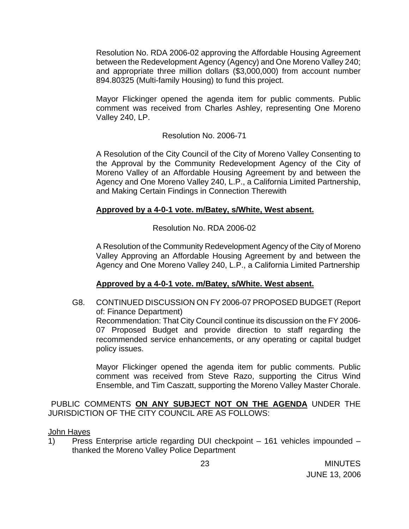Resolution No. RDA 2006-02 approving the Affordable Housing Agreement between the Redevelopment Agency (Agency) and One Moreno Valley 240; and appropriate three million dollars (\$3,000,000) from account number 894.80325 (Multi-family Housing) to fund this project.

 Mayor Flickinger opened the agenda item for public comments. Public comment was received from Charles Ashley, representing One Moreno Valley 240, LP.

Resolution No. 2006-71

 A Resolution of the City Council of the City of Moreno Valley Consenting to the Approval by the Community Redevelopment Agency of the City of Moreno Valley of an Affordable Housing Agreement by and between the Agency and One Moreno Valley 240, L.P., a California Limited Partnership, and Making Certain Findings in Connection Therewith

# **Approved by a 4-0-1 vote. m/Batey, s/White, West absent.**

Resolution No. RDA 2006-02

 A Resolution of the Community Redevelopment Agency of the City of Moreno Valley Approving an Affordable Housing Agreement by and between the Agency and One Moreno Valley 240, L.P., a California Limited Partnership

# **Approved by a 4-0-1 vote. m/Batey, s/White. West absent.**

G8. CONTINUED DISCUSSION ON FY 2006-07 PROPOSED BUDGET (Report of: Finance Department) Recommendation: That City Council continue its discussion on the FY 2006- 07 Proposed Budget and provide direction to staff regarding the recommended service enhancements, or any operating or capital budget policy issues.

 Mayor Flickinger opened the agenda item for public comments. Public comment was received from Steve Razo, supporting the Citrus Wind Ensemble, and Tim Caszatt, supporting the Moreno Valley Master Chorale.

PUBLIC COMMENTS **ON ANY SUBJECT NOT ON THE AGENDA** UNDER THE JURISDICTION OF THE CITY COUNCIL ARE AS FOLLOWS:

### John Hayes

 1) Press Enterprise article regarding DUI checkpoint – 161 vehicles impounded – thanked the Moreno Valley Police Department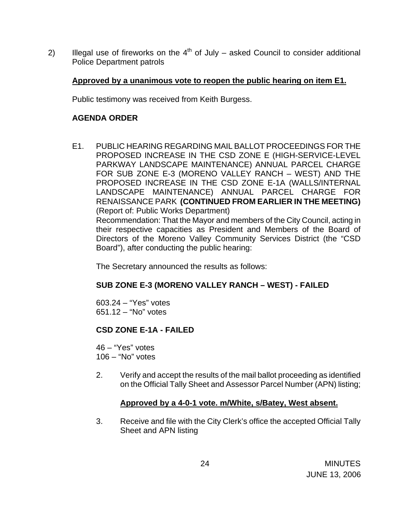2) Illegal use of fireworks on the  $4<sup>th</sup>$  of July – asked Council to consider additional Police Department patrols

### **Approved by a unanimous vote to reopen the public hearing on item E1.**

Public testimony was received from Keith Burgess.

# **AGENDA ORDER**

E1. PUBLIC HEARING REGARDING MAIL BALLOT PROCEEDINGS FOR THE PROPOSED INCREASE IN THE CSD ZONE E (HIGH-SERVICE-LEVEL PARKWAY LANDSCAPE MAINTENANCE) ANNUAL PARCEL CHARGE FOR SUB ZONE E-3 (MORENO VALLEY RANCH – WEST) AND THE PROPOSED INCREASE IN THE CSD ZONE E-1A (WALLS/INTERNAL LANDSCAPE MAINTENANCE) ANNUAL PARCEL CHARGE FOR RENAISSANCE PARK **(CONTINUED FROM EARLIER IN THE MEETING)**  (Report of: Public Works Department) Recommendation: That the Mayor and members of the City Council, acting in their respective capacities as President and Members of the Board of Directors of the Moreno Valley Community Services District (the "CSD Board"), after conducting the public hearing:

The Secretary announced the results as follows:

# **SUB ZONE E-3 (MORENO VALLEY RANCH – WEST) - FAILED**

 603.24 – "Yes" votes 651.12 – "No" votes

# **CSD ZONE E-1A - FAILED**

46 – "Yes" votes 106 – "No" votes

2. Verify and accept the results of the mail ballot proceeding as identified on the Official Tally Sheet and Assessor Parcel Number (APN) listing;

# **Approved by a 4-0-1 vote. m/White, s/Batey, West absent.**

3. Receive and file with the City Clerk's office the accepted Official Tally Sheet and APN listing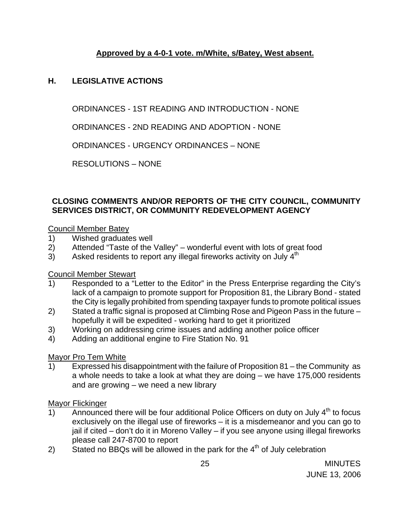# **Approved by a 4-0-1 vote. m/White, s/Batey, West absent.**

# **H. LEGISLATIVE ACTIONS**

ORDINANCES - 1ST READING AND INTRODUCTION - NONE

ORDINANCES - 2ND READING AND ADOPTION - NONE

ORDINANCES - URGENCY ORDINANCES – NONE

RESOLUTIONS – NONE

# **CLOSING COMMENTS AND/OR REPORTS OF THE CITY COUNCIL, COMMUNITY SERVICES DISTRICT, OR COMMUNITY REDEVELOPMENT AGENCY**

### Council Member Batey

- 1) Wished graduates well
- 2) Attended "Taste of the Valley" wonderful event with lots of great food
- 3) Asked residents to report any illegal fireworks activity on July  $4<sup>th</sup>$

# Council Member Stewart

- 1) Responded to a "Letter to the Editor" in the Press Enterprise regarding the City's lack of a campaign to promote support for Proposition 81, the Library Bond - stated the City is legally prohibited from spending taxpayer funds to promote political issues
- 2) Stated a traffic signal is proposed at Climbing Rose and Pigeon Pass in the future hopefully it will be expedited - working hard to get it prioritized
- 3) Working on addressing crime issues and adding another police officer
- 4) Adding an additional engine to Fire Station No. 91

# Mayor Pro Tem White

1) Expressed his disappointment with the failure of Proposition 81 – the Community as a whole needs to take a look at what they are doing – we have 175,000 residents and are growing – we need a new library

### Mayor Flickinger

- 1) Announced there will be four additional Police Officers on duty on July  $4<sup>th</sup>$  to focus exclusively on the illegal use of fireworks – it is a misdemeanor and you can go to jail if cited – don't do it in Moreno Valley – if you see anyone using illegal fireworks please call 247-8700 to report
- 2) Stated no BBQs will be allowed in the park for the  $4<sup>th</sup>$  of July celebration